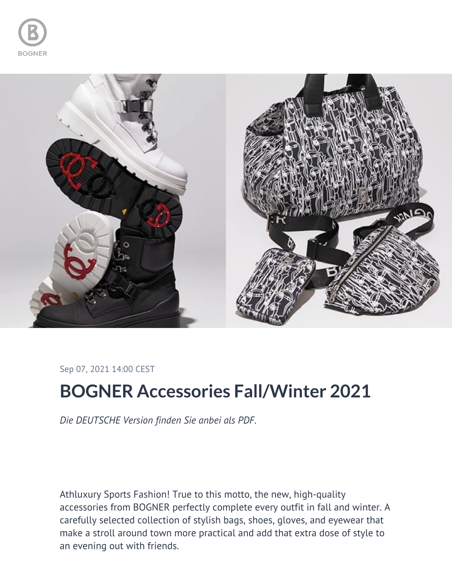



Sep 07, 2021 14:00 CEST

## **BOGNER Accessories Fall/Winter 2021**

*Die DEUTSCHE Version finden Sie anbei als PDF.*

Athluxury Sports Fashion! True to this motto, the new, high-quality accessories from BOGNER perfectly complete every outfit in fall and winter. A carefully selected collection of stylish bags, shoes, gloves, and eyewear that make a stroll around town more practical and add that extra dose of style to an evening out with friends.